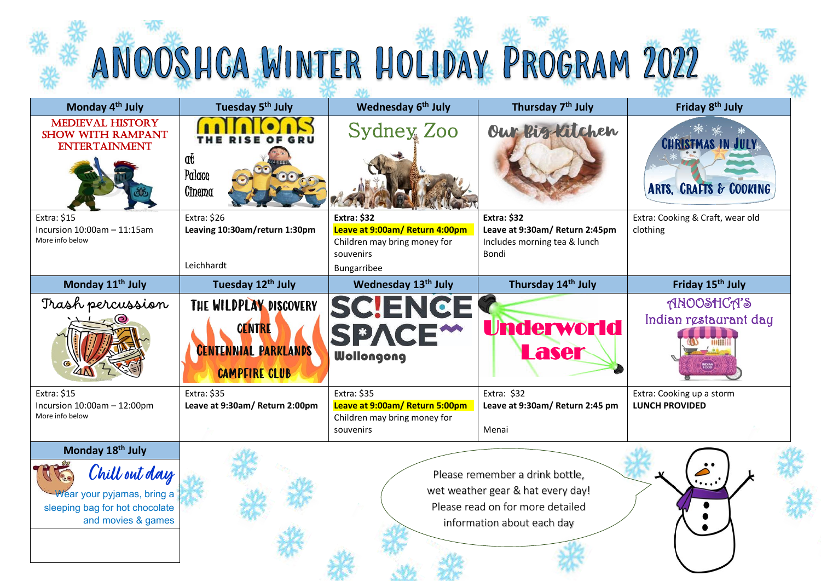|                                                                                                                         |                                                                                         | ANOOSHCA WINTER HOLIDAY PROGRAM 2022                                                                             |                                                                                                                                        |                                                    |
|-------------------------------------------------------------------------------------------------------------------------|-----------------------------------------------------------------------------------------|------------------------------------------------------------------------------------------------------------------|----------------------------------------------------------------------------------------------------------------------------------------|----------------------------------------------------|
| Monday 4 <sup>th</sup> July                                                                                             | Tuesday 5 <sup>th</sup> July                                                            | Wednesday 6 <sup>th</sup> July                                                                                   | Thursday 7 <sup>th</sup> July                                                                                                          | Friday 8 <sup>th</sup> July                        |
| <b>MEDIEVAL HISTORY</b><br><b>SHOW WITH RAMPANT</b><br><b>ENTERTAINMENT</b>                                             | at<br>Palace<br>Cinema                                                                  | Sydney Zoo                                                                                                       | Our Big Kitchen                                                                                                                        | <b>CHRISTMAS IN JULY</b><br>ARTS, CRAFTS & COOKING |
| Extra: \$15<br>Incursion $10:00$ am $-11:15$ am<br>More info below                                                      | Extra: \$26<br>Leaving 10:30am/return 1:30pm<br>Leichhardt                              | <b>Extra: \$32</b><br>Leave at 9:00am/ Return 4:00pm<br>Children may bring money for<br>souvenirs<br>Bungarribee | <b>Extra: \$32</b><br>Leave at 9:30am/ Return 2:45pm<br>Includes morning tea & lunch<br>Bondi                                          | Extra: Cooking & Craft, wear old<br>clothing       |
| Monday 11 <sup>th</sup> July                                                                                            | Tuesday 12th July                                                                       | Wednesday 13 <sup>th</sup> July                                                                                  | Thursday 14 <sup>th</sup> July                                                                                                         | Friday 15 <sup>th</sup> July                       |
| Trash percussion                                                                                                        | THE WILDPLAY DISCOVERY<br>CENTRE<br><b>CENTENNIAL PARKLANDS</b><br><b>CAMPFIRE CLUB</b> | SCIENCI<br>SPACE <sup>**</sup><br>Wollongong                                                                     | <b>Underworld</b><br><b>Laser</b>                                                                                                      | ANOOSHCA'S<br>Indian restaurant day                |
| Extra: \$15<br>Incursion $10:00$ am $-12:00$ pm<br>More info below                                                      | Extra: \$35<br>Leave at 9:30am/ Return 2:00pm                                           | Extra: \$35<br>Leave at 9:00am/ Return 5:00pm<br>Children may bring money for<br>souvenirs                       | Extra: \$32<br>Leave at 9:30am/ Return 2:45 pm<br>Menai                                                                                | Extra: Cooking up a storm<br><b>LUNCH PROVIDED</b> |
| Monday 18th July<br>Chill out day<br>Wear your pyjamas, bring a<br>sleeping bag for hot chocolate<br>and movies & games |                                                                                         |                                                                                                                  | Please remember a drink bottle,<br>wet weather gear & hat every day!<br>Please read on for more detailed<br>information about each day | . <sup>.</sup>                                     |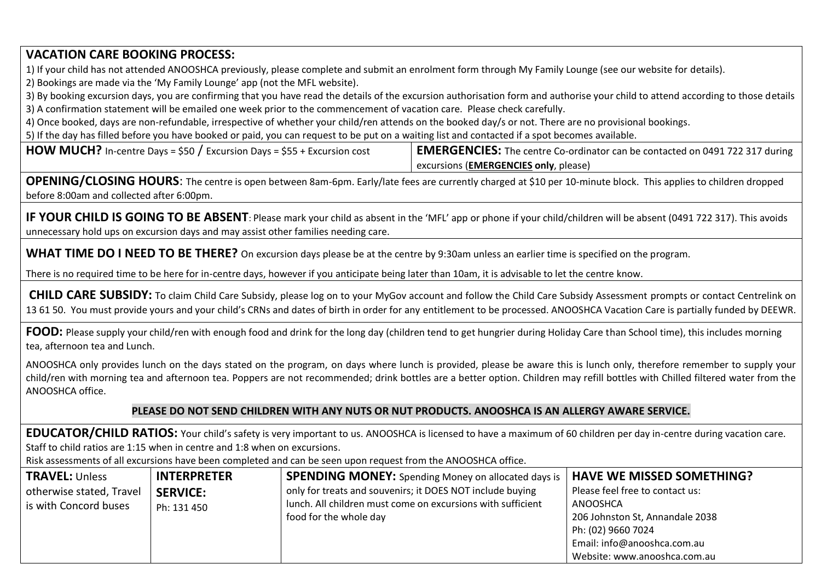# **VACATION CARE BOOKING PROCESS:**

1) If your child has not attended ANOOSHCA previously, please complete and submit an enrolment form through My Family Lounge (see our website for details).

2) Bookings are made via the 'My Family Lounge' app (not the MFL website).

3) By booking excursion days, you are confirming that you have read the details of the excursion authorisation form and authorise your child to attend according to those details 3) A confirmation statement will be emailed one week prior to the commencement of vacation care. Please check carefully.

4) Once booked, days are non-refundable, irrespective of whether your child/ren attends on the booked day/s or not. There are no provisional bookings.

5) If the day has filled before you have booked or paid, you can request to be put on a waiting list and contacted if a spot becomes available.

**HOW MUCH?** In-centre Days = \$50 / Excursion Days = \$55 + Excursion cost **EMERGENCIES:** The centre Co-ordinator can be contacted on 0491 722 317 during excursions (**EMERGENCIES only**, please)

**OPENING/CLOSING HOURS**: The centre is open between 8am-6pm. Early/late fees are currently charged at \$10 per 10-minute block. This applies to children dropped before 8:00am and collected after 6:00pm.

**IF YOUR CHILD IS GOING TO BE ABSENT**: Please mark your child as absent in the 'MFL' app or phone if your child/children will be absent (0491 722 317). This avoids unnecessary hold ups on excursion days and may assist other families needing care.

**WHAT TIME DO I NEED TO BE THERE?** On excursion days please be at the centre by 9:30am unless an earlier time is specified on the program.

There is no required time to be here for in-centre days, however if you anticipate being later than 10am, it is advisable to let the centre know.

**CHILD CARE SUBSIDY:** To claim Child Care Subsidy, please log on to your MyGov account and follow the Child Care Subsidy Assessment prompts or contact Centrelink on 13 61 50. You must provide yours and your child's CRNs and dates of birth in order for any entitlement to be processed. ANOOSHCA Vacation Care is partially funded by DEEWR.

**FOOD:** Please supply your child/ren with enough food and drink for the long day (children tend to get hungrier during Holiday Care than School time), this includes morning tea, afternoon tea and Lunch.

ANOOSHCA only provides lunch on the days stated on the program, on days where lunch is provided, please be aware this is lunch only, therefore remember to supply your child/ren with morning tea and afternoon tea. Poppers are not recommended; drink bottles are a better option. Children may refill bottles with Chilled filtered water from the ANOOSHCA office.

#### **PLEASE DO NOT SEND CHILDREN WITH ANY NUTS OR NUT PRODUCTS. ANOOSHCA IS AN ALLERGY AWARE SERVICE.**

**EDUCATOR/CHILD RATIOS:** Your child's safety is very important to us. ANOOSHCA is licensed to have a maximum of 60 children per day in-centre during vacation care. Staff to child ratios are 1:15 when in centre and 1:8 when on excursions.

Risk assessments of all excursions have been completed and can be seen upon request from the ANOOSHCA office.

| <b>TRAVEL: Unless</b>    | <b>INTERPRETER</b> | <b>SPENDING MONEY:</b> Spending Money on allocated days is  | <b>HAVE WE MISSED SOMETHING?</b> |
|--------------------------|--------------------|-------------------------------------------------------------|----------------------------------|
| otherwise stated, Travel | <b>SERVICE:</b>    | only for treats and souvenirs; it DOES NOT include buying   | Please feel free to contact us:  |
| is with Concord buses    | Ph: 131 450        | lunch. All children must come on excursions with sufficient | ANOOSHCA                         |
|                          |                    | food for the whole day                                      | 206 Johnston St, Annandale 2038  |
|                          |                    |                                                             | Ph: (02) 9660 7024               |
|                          |                    |                                                             | Email: info@anooshca.com.au      |
|                          |                    |                                                             | Website: www.anooshca.com.au     |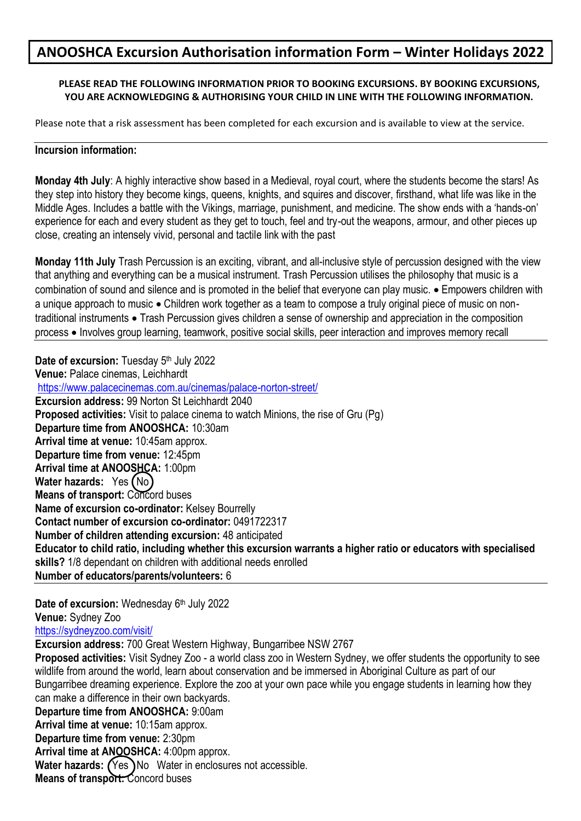# **ANOOSHCA Excursion Authorisation information Form – Winter Holidays 2022**

## **PLEASE READ THE FOLLOWING INFORMATION PRIOR TO BOOKING EXCURSIONS. BY BOOKING EXCURSIONS, YOU ARE ACKNOWLEDGING & AUTHORISING YOUR CHILD IN LINE WITH THE FOLLOWING INFORMATION.**

Please note that a risk assessment has been completed for each excursion and is available to view at the service.

### **Incursion information:**

**Monday 4th July**: A highly interactive show based in a Medieval, royal court, where the students become the stars! As they step into history they become kings, queens, knights, and squires and discover, firsthand, what life was like in the Middle Ages. Includes a battle with the Vikings, marriage, punishment, and medicine. The show ends with a 'hands-on' experience for each and every student as they get to touch, feel and try-out the weapons, armour, and other pieces up close, creating an intensely vivid, personal and tactile link with the past

**Monday 11th July** Trash Percussion is an exciting, vibrant, and all-inclusive style of percussion designed with the view that anything and everything can be a musical instrument. Trash Percussion utilises the philosophy that music is a combination of sound and silence and is promoted in the belief that everyone can play music. • Empowers children with a unique approach to music • Children work together as a team to compose a truly original piece of music on nontraditional instruments • Trash Percussion gives children a sense of ownership and appreciation in the composition process • Involves group learning, teamwork, positive social skills, peer interaction and improves memory recall

**Date of excursion:** Tuesday 5<sup>th</sup> July 2022 **Venue:** Palace cinemas, Leichhardt <https://www.palacecinemas.com.au/cinemas/palace-norton-street/> **Excursion address:** 99 Norton St Leichhardt 2040 **Proposed activities:** Visit to palace cinema to watch Minions, the rise of Gru (Pg) **Departure time from ANOOSHCA:** 10:30am **Arrival time at venue:** 10:45am approx. **Departure time from venue:** 12:45pm **Arrival time at ANOOSHCA:** 1:00pm **Water hazards:** Yes (No) **Means of transport: Concord buses Name of excursion co-ordinator:** Kelsey Bourrelly **Contact number of excursion co-ordinator:** 0491722317 **Number of children attending excursion:** 48 anticipated **Educator to child ratio, including whether this excursion warrants a higher ratio or educators with specialised skills?** 1/8 dependant on children with additional needs enrolled **Number of educators/parents/volunteers:** 6

Date of excursion: Wednesday 6<sup>th</sup> July 2022 **Venue:** Sydney Zoo <https://sydneyzoo.com/visit/>

**Excursion address:** 700 Great Western Highway, Bungarribee NSW 2767 **Proposed activities:** Visit Sydney Zoo - a world class zoo in Western Sydney, we offer students the opportunity to see wildlife from around the world, learn about conservation and be immersed in Aboriginal Culture as part of our Bungarribee dreaming experience. Explore the zoo at your own pace while you engage students in learning how they can make a difference in their own backyards. **Departure time from ANOOSHCA:** 9:00am **Arrival time at venue:** 10:15am approx. **Departure time from venue:** 2:30pm **Arrival time at ANOOSHCA:** 4:00pm approx. **Water hazards:** (Yes) No Water in enclosures not accessible. **Means of transport:** Concord buses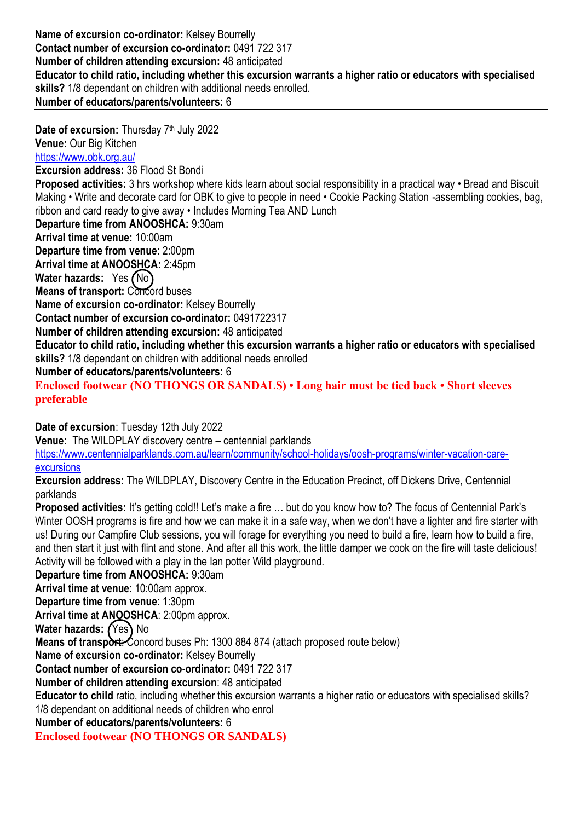**Name of excursion co-ordinator:** Kelsey Bourrelly **Contact number of excursion co-ordinator:** 0491 722 317 **Number of children attending excursion:** 48 anticipated **Educator to child ratio, including whether this excursion warrants a higher ratio or educators with specialised skills?** 1/8 dependant on children with additional needs enrolled. **Number of educators/parents/volunteers:** 6

Date of excursion: Thursday 7<sup>th</sup> July 2022 **Venue:** Our Big Kitchen <https://www.obk.org.au/> **Excursion address:** 36 Flood St Bondi **Proposed activities:** 3 hrs workshop where kids learn about social responsibility in a practical way • Bread and Biscuit Making • Write and decorate card for OBK to give to people in need • Cookie Packing Station -assembling cookies, bag, ribbon and card ready to give away • Includes Morning Tea AND Lunch **Departure time from ANOOSHCA:** 9:30am **Arrival time at venue:** 10:00am **Departure time from venue**: 2:00pm **Arrival time at ANOOSHCA:** 2:45pm **Water hazards:** Yes (No) **Means of transport: Concord buses Name of excursion co-ordinator:** Kelsey Bourrelly **Contact number of excursion co-ordinator:** 0491722317 **Number of children attending excursion:** 48 anticipated **Educator to child ratio, including whether this excursion warrants a higher ratio or educators with specialised skills?** 1/8 dependant on children with additional needs enrolled **Number of educators/parents/volunteers:** 6 **Enclosed footwear (NO THONGS OR SANDALS) • Long hair must be tied back • Short sleeves preferable**

**Date of excursion**: Tuesday 12th July 2022

**Venue:** The WILDPLAY discovery centre – centennial parklands

[https://www.centennialparklands.com.au/learn/community/school-holidays/oosh-programs/winter-vacation-care](https://www.centennialparklands.com.au/learn/community/school-holidays/oosh-programs/winter-vacation-care-excursions)[excursions](https://www.centennialparklands.com.au/learn/community/school-holidays/oosh-programs/winter-vacation-care-excursions)

**Excursion address:** The WILDPLAY, Discovery Centre in the Education Precinct, off Dickens Drive, Centennial parklands

**Proposed activities:** It's getting cold!! Let's make a fire ... but do you know how to? The focus of Centennial Park's Winter OOSH programs is fire and how we can make it in a safe way, when we don't have a lighter and fire starter with us! During our Campfire Club sessions, you will forage for everything you need to build a fire, learn how to build a fire, and then start it just with flint and stone. And after all this work, the little damper we cook on the fire will taste delicious! Activity will be followed with a play in the Ian potter Wild playground.

**Departure time from ANOOSHCA:** 9:30am **Arrival time at venue**: 10:00am approx. **Departure time from venue**: 1:30pm Arrival time at ANQOSHCA: 2:00pm approx. **Water hazards:** (Yes) No **Means of transport:** Concord buses Ph: 1300 884 874 (attach proposed route below) **Name of excursion co-ordinator:** Kelsey Bourrelly **Contact number of excursion co-ordinator:** 0491 722 317 **Number of children attending excursion**: 48 anticipated **Educator to child** ratio, including whether this excursion warrants a higher ratio or educators with specialised skills? 1/8 dependant on additional needs of children who enrol

**Number of educators/parents/volunteers:** 6

**Enclosed footwear (NO THONGS OR SANDALS)**